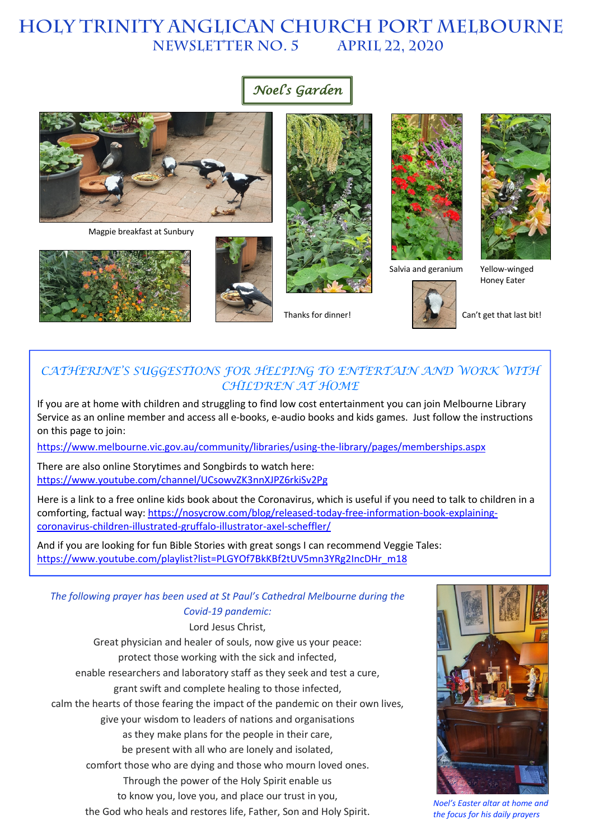# **HOLY TRINITY Anglican church PORT MELBOURNE NEWSLETTER NO. 5**

# *Noel's Garden*



Magpie breakfast at Sunbury







Thanks for dinner!



Salvia and geranium





Yellow-winged Honey Eater

Can't get that last bit!

## CATHERINE'S SUGGESTIONS FOR HELPING TO ENTERTAIN AND WORK WITH *CHILDREN AT HOME*

If you are at home with children and struggling to find low cost entertainment you can join Melbourne Library Service as an online member and access all e-books, e-audio books and kids games. Just follow the instructions on this page to join:

https://www.melbourne.vic.gov.au/community/libraries/using-the-library/pages/memberships.aspx

There are also online Storytimes and Songbirds to watch here: https://www.youtube.com/channel/UCsowvZK3nnXJPZ6rkiSv2Pg

Here is a link to a free online kids book about the Coronavirus, which is useful if you need to talk to children in a comforting, factual way: https://nosycrow.com/blog/released-today-free-information-book-explainingcoronavirus-children-illustrated-gruffalo-illustrator-axel-scheffler/

And if you are looking for fun Bible Stories with great songs I can recommend Veggie Tales: https://www.youtube.com/playlist?list=PLGYOf7BkKBf2tUV5mn3YRg2IncDHr\_m18

### *The following prayer has been used at St Paul's Cathedral Melbourne during the Covid-19 pandemic:*

Lord Jesus Christ, Great physician and healer of souls, now give us your peace: protect those working with the sick and infected, enable researchers and laboratory staff as they seek and test a cure, grant swift and complete healing to those infected, calm the hearts of those fearing the impact of the pandemic on their own lives, give your wisdom to leaders of nations and organisations as they make plans for the people in their care, be present with all who are lonely and isolated, comfort those who are dying and those who mourn loved ones. Through the power of the Holy Spirit enable us to know you, love you, and place our trust in you, the God who heals and restores life, Father, Son and Holy Spirit.



*Noel's Easter altar at home and the focus for his daily prayers*